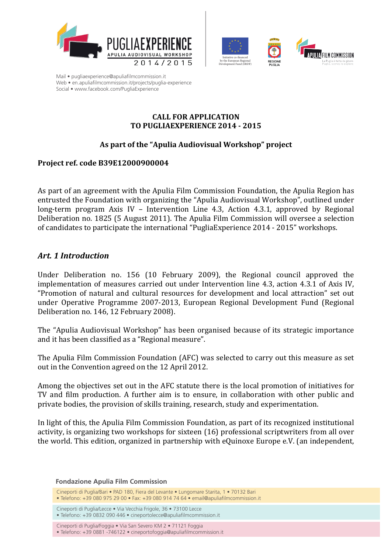





#### **CALL FOR APPLICATION TO PUGLIAEXPERIENCE 2014 - 2015**

## As part of the "Apulia Audiovisual Workshop" project

## **Project ref. code B39E12000900004**

As part of an agreement with the Apulia Film Commission Foundation, the Apulia Region has entrusted the Foundation with organizing the "Apulia Audiovisual Workshop", outlined under long-term program Axis IV – Intervention Line 4.3, Action 4.3.1, approved by Regional Deliberation no. 1825 (5 August 2011). The Apulia Film Commission will oversee a selection of candidates to participate the international "PugliaExperience 2014 - 2015" workshops.

## *Art. 1 Introduction*

Under Deliberation no. 156 (10 February 2009), the Regional council approved the implementation of measures carried out under Intervention line 4.3, action 4.3.1 of Axis IV, "Promotion of natural and cultural resources for development and local attraction" set out under Operative Programme 2007-2013, European Regional Development Fund (Regional Deliberation no. 146, 12 February 2008).

The "Apulia Audiovisual Workshop" has been organised because of its strategic importance and it has been classified as a "Regional measure".

The Apulia Film Commission Foundation (AFC) was selected to carry out this measure as set out in the Convention agreed on the 12 April 2012.

Among the objectives set out in the AFC statute there is the local promotion of initiatives for TV and film production. A further aim is to ensure, in collaboration with other public and private bodies, the provision of skills training, research, study and experimentation.

In light of this, the Apulia Film Commission Foundation, as part of its recognized institutional activity, is organizing two workshops for sixteen (16) professional scriptwriters from all over the world. This edition, organized in partnership with eQuinoxe Europe e.V. (an independent,

**Fondazione Apulia Film Commission**

Cineporti di Puglia/Bari • PAD 180, Fiera del Levante • Lungomare Starita, 1 • 70132 Bari

 $\bullet$  Telefono: +39 080 975 29 00  $\bullet$  Fax: +39 080 914 74 64  $\bullet$  email@apuliafilmcommission.it

Cineporti di Puglia/Lecce • Via Vecchia Frigole, 36 • 73100 Lecce

 $\bullet$  Telefono: +39 0832 090 446  $\bullet$  cineportolecce@apuliafilmcommission.it

Cineporti di Puglia/Foggia · Via San Severo KM 2 · 71121 Foggia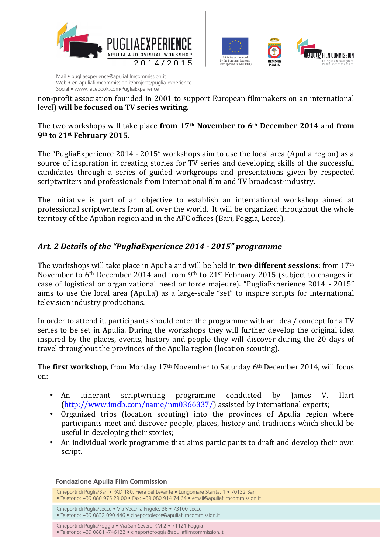



non-profit association founded in 2001 to support European filmmakers on an international level) will be focused on TV series writing.

#### The two workshops will take place from 17<sup>th</sup> November to 6<sup>th</sup> December 2014 and from **9th to 21st February 2015**.

The "PugliaExperience 2014 - 2015" workshops aim to use the local area (Apulia region) as a source of inspiration in creating stories for TV series and developing skills of the successful candidates through a series of guided workgroups and presentations given by respected scriptwriters and professionals from international film and TV broadcast-industry.

The initiative is part of an objective to establish an international workshop aimed at professional scriptwriters from all over the world. It will be organized throughout the whole territory of the Apulian region and in the AFC offices (Bari, Foggia, Lecce).

## Art. 2 Details of the "PugliaExperience 2014 - 2015" programme

The workshops will take place in Apulia and will be held in **two different sessions**: from 17<sup>th</sup> November to  $6<sup>th</sup>$  December 2014 and from 9<sup>th</sup> to 21<sup>st</sup> February 2015 (subject to changes in case of logistical or organizational need or force majeure). "PugliaExperience 2014 - 2015" aims to use the local area (Apulia) as a large-scale "set" to inspire scripts for international television industry productions.

In order to attend it, participants should enter the programme with an idea / concept for a TV series to be set in Apulia. During the workshops they will further develop the original idea inspired by the places, events, history and people they will discover during the 20 days of travel throughout the provinces of the Apulia region (location scouting).

The **first workshop**, from Monday 17<sup>th</sup> November to Saturday 6<sup>th</sup> December 2014, will focus on: 

- An itinerant scriptwriting programme conducted by James V. Hart (http://www.imdb.com/name/nm0366337/) assisted by international experts;
- Organized trips (location scouting) into the provinces of Apulia region where participants meet and discover people, places, history and traditions which should be useful in developing their stories;
- An individual work programme that aims participants to draft and develop their own script.

**Fondazione Apulia Film Commission**

 $\bullet$  Telefono: +39 0832 090 446  $\bullet$  cineportolecce@apuliafilmcommission.it

Cineporti di Puglia/Foggia · Via San Severo KM 2 · 71121 Foggia

Cineporti di Puglia/Bari • PAD 180, Fiera del Levante • Lungomare Starita, 1 • 70132 Bari

 $\bullet$  Telefono: +39 080 975 29 00  $\bullet$  Fax: +39 080 914 74 64  $\bullet$  email@apuliafilmcommission.it

Cineporti di Puglia/Lecce • Via Vecchia Frigole, 36 • 73100 Lecce

<sup>•</sup> Telefono: +39 0881 -746122 • cineportofoggia@apuliafilmcommission.it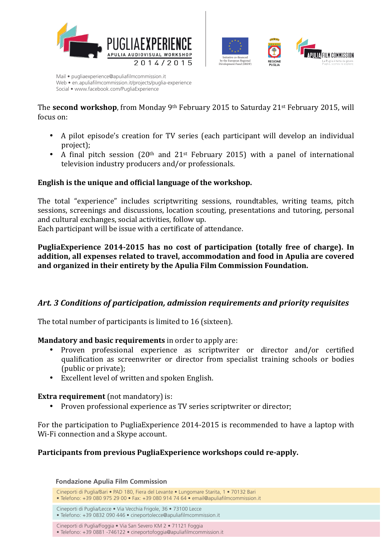



The **second workshop**, from Monday 9<sup>th</sup> February 2015 to Saturday 21<sup>st</sup> February 2015, will focus on:

- A pilot episode's creation for TV series (each participant will develop an individual project);
- A final pitch session  $(20<sup>th</sup>$  and  $21<sup>st</sup>$  February 2015) with a panel of international television industry producers and/or professionals.

## **English is the unique and official language of the workshop.**

The total "experience" includes scriptwriting sessions, roundtables, writing teams, pitch sessions, screenings and discussions, location scouting, presentations and tutoring, personal and cultural exchanges, social activities, follow up.

Each participant will be issue with a certificate of attendance.

## PugliaExperience 2014-2015 has no cost of participation (totally free of charge). In addition, all expenses related to travel, accommodation and food in Apulia are covered and organized in their entirety by the Apulia Film Commission Foundation.

## Art. 3 Conditions of participation, admission requirements and priority requisites

The total number of participants is limited to 16 (sixteen).

#### **Mandatory and basic requirements** in order to apply are:

- Proven professional experience as scriptwriter or director and/or certified qualification as screenwriter or director from specialist training schools or bodies (public or private);
- Excellent level of written and spoken English.

#### **Extra requirement** (not mandatory) is:

• Proven professional experience as TV series scriptwriter or director:

For the participation to PugliaExperience 2014-2015 is recommended to have a laptop with Wi-Fi connection and a Skype account.

## Participants from previous PugliaExperience workshops could re-apply.

**Fondazione Apulia Film Commission**

Cineporti di Puglia/Bari • PAD 180, Fiera del Levante • Lungomare Starita, 1 • 70132 Bari

 $\bullet$  Telefono: +39 080 975 29 00  $\bullet$  Fax: +39 080 914 74 64  $\bullet$  email@apuliafilmcommission.it

Cineporti di Puglia/Lecce • Via Vecchia Frigole, 36 • 73100 Lecce

 $\bullet$  Telefono: +39 0832 090 446  $\bullet$  cineportolecce@apuliafilmcommission.it

Cineporti di Puglia/Foggia · Via San Severo KM 2 · 71121 Foggia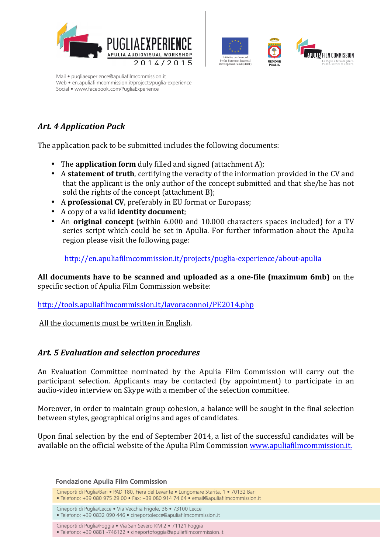





# *Art. 4 Application Pack*

The application pack to be submitted includes the following documents:

- The **application form** duly filled and signed (attachment A);
- A **statement of truth**, certifying the veracity of the information provided in the CV and that the applicant is the only author of the concept submitted and that she/he has not sold the rights of the concept  $(\text{attachment B})$ ;
- A **professional CV**, preferably in EU format or Europass;
- A copy of a valid **identity document**;
- An **original concept** (within 6.000 and 10.000 characters spaces included) for a TV series script which could be set in Apulia. For further information about the Apulia region please visit the following page:

http://en.apuliafilmcommission.it/projects/puglia-experience/about-apulia

All documents have to be scanned and uploaded as a one-file (maximum 6mb) on the specific section of Apulia Film Commission website:

http://tools.apuliafilmcommission.it/lavoraconnoi/PE2014.php

All the documents must be written in English.

## Art. 5 Evaluation and selection procedures

An Evaluation Committee nominated by the Apulia Film Commission will carry out the participant selection. Applicants may be contacted (by appointment) to participate in an audio-video interview on Skype with a member of the selection committee.

Moreover, in order to maintain group cohesion, a balance will be sought in the final selection between styles, geographical origins and ages of candidates.

Upon final selection by the end of September 2014, a list of the successful candidates will be available on the official website of the Apulia Film Commission www.apuliafilmcommission.it.

**Fondazione Apulia Film Commission**

Cineporti di Puglia/Bari • PAD 180, Fiera del Levante • Lungomare Starita, 1 • 70132 Bari

 $\bullet$  Telefono: +39 080 975 29 00  $\bullet$  Fax: +39 080 914 74 64  $\bullet$  email@apuliafilmcommission.it

Cineporti di Puglia/Lecce • Via Vecchia Frigole, 36 • 73100 Lecce

 $\bullet$  Telefono: +39 0832 090 446  $\bullet$  cineportolecce@apuliafilmcommission.it

Cineporti di Puglia/Foggia · Via San Severo KM 2 · 71121 Foggia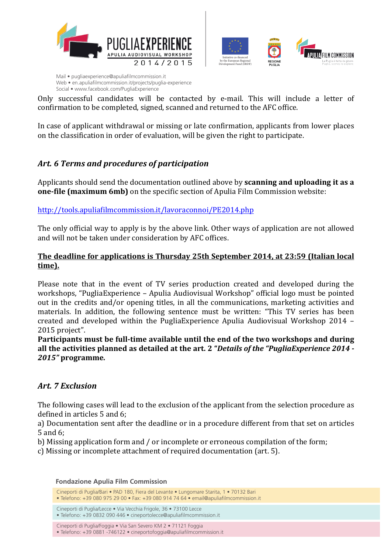



Only successful candidates will be contacted by e-mail. This will include a letter of confirmation to be completed, signed, scanned and returned to the AFC office.

In case of applicant withdrawal or missing or late confirmation, applicants from lower places on the classification in order of evaluation, will be given the right to participate.

## Art. 6 Terms and procedures of participation

Applicants should send the documentation outlined above by **scanning and uploading it as a one-file (maximum 6mb)** on the specific section of Apulia Film Commission website:

## http://tools.apuliafilmcommission.it/lavoraconnoi/PE2014.php

The only official way to apply is by the above link. Other ways of application are not allowed and will not be taken under consideration by AFC offices.

## **The deadline for applications is Thursday 25th September 2014, at 23:59 (Italian local time).**

Please note that in the event of TV series production created and developed during the workshops, "PugliaExperience – Apulia Audiovisual Workshop" official logo must be pointed out in the credits and/or opening titles, in all the communications, marketing activities and materials. In addition, the following sentence must be written: "This TV series has been created and developed within the PugliaExperience Apulia Audiovisual Workshop  $2014$  – 2015 project".

Participants must be full-time available until the end of the two workshops and during all the activities planned as detailed at the art. 2 "*Details of the "PugliaExperience 2014* -*2015"* **programme***.*

## *Art. 7 Exclusion*

The following cases will lead to the exclusion of the applicant from the selection procedure as defined in articles  $5$  and  $6$ :

a) Documentation sent after the deadline or in a procedure different from that set on articles 5 and 6; 

b) Missing application form and / or incomplete or erroneous compilation of the form;

c) Missing or incomplete attachment of required documentation (art. 5).

**Fondazione Apulia Film Commission**

Cineporti di Puglia/Bari • PAD 180, Fiera del Levante • Lungomare Starita, 1 • 70132 Bari

 $\bullet$  Telefono: +39 080 975 29 00  $\bullet$  Fax: +39 080 914 74 64  $\bullet$  email@apuliafilmcommission.it

Cineporti di Puglia/Lecce • Via Vecchia Frigole, 36 • 73100 Lecce

 $\bullet$  Telefono: +39 0832 090 446  $\bullet$  cineportolecce@apuliafilmcommission.it

Cineporti di Puglia/Foggia · Via San Severo KM 2 · 71121 Foggia